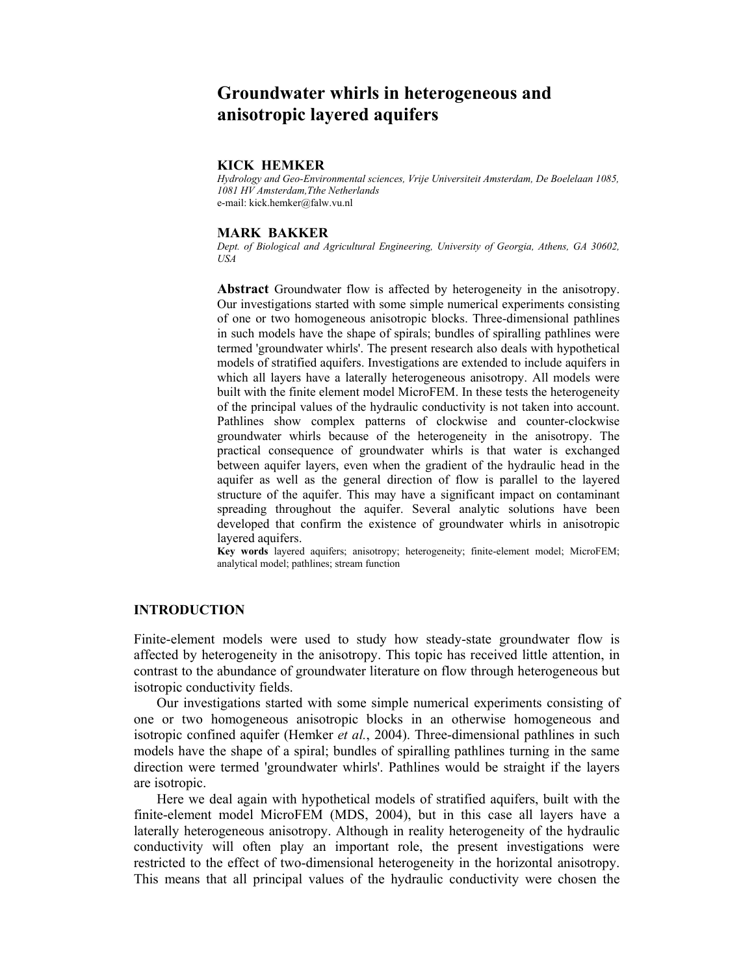# **Groundwater whirls in heterogeneous and anisotropic layered aquifers**

### **KICK HEMKER**

*Hydrology and Geo-Environmental sciences, Vrije Universiteit Amsterdam, De Boelelaan 1085, 1081 HV Amsterdam,Tthe Netherlands*  e-mail: kick.hemker@falw.vu.nl

### **MARK BAKKER**

*Dept. of Biological and Agricultural Engineering, University of Georgia, Athens, GA 30602, USA* 

**Abstract** Groundwater flow is affected by heterogeneity in the anisotropy. Our investigations started with some simple numerical experiments consisting of one or two homogeneous anisotropic blocks. Three-dimensional pathlines in such models have the shape of spirals; bundles of spiralling pathlines were termed 'groundwater whirls'. The present research also deals with hypothetical models of stratified aquifers. Investigations are extended to include aquifers in which all layers have a laterally heterogeneous anisotropy. All models were built with the finite element model MicroFEM. In these tests the heterogeneity of the principal values of the hydraulic conductivity is not taken into account. Pathlines show complex patterns of clockwise and counter-clockwise groundwater whirls because of the heterogeneity in the anisotropy. The practical consequence of groundwater whirls is that water is exchanged between aquifer layers, even when the gradient of the hydraulic head in the aquifer as well as the general direction of flow is parallel to the layered structure of the aquifer. This may have a significant impact on contaminant spreading throughout the aquifer. Several analytic solutions have been developed that confirm the existence of groundwater whirls in anisotropic layered aquifers.

**Key words** layered aquifers; anisotropy; heterogeneity; finite-element model; MicroFEM; analytical model; pathlines; stream function

## **INTRODUCTION**

Finite-element models were used to study how steady-state groundwater flow is affected by heterogeneity in the anisotropy. This topic has received little attention, in contrast to the abundance of groundwater literature on flow through heterogeneous but isotropic conductivity fields.

 Our investigations started with some simple numerical experiments consisting of one or two homogeneous anisotropic blocks in an otherwise homogeneous and isotropic confined aquifer (Hemker *et al.*, 2004). Three-dimensional pathlines in such models have the shape of a spiral; bundles of spiralling pathlines turning in the same direction were termed 'groundwater whirls'. Pathlines would be straight if the layers are isotropic.

 Here we deal again with hypothetical models of stratified aquifers, built with the finite-element model MicroFEM (MDS, 2004), but in this case all layers have a laterally heterogeneous anisotropy. Although in reality heterogeneity of the hydraulic conductivity will often play an important role, the present investigations were restricted to the effect of two-dimensional heterogeneity in the horizontal anisotropy. This means that all principal values of the hydraulic conductivity were chosen the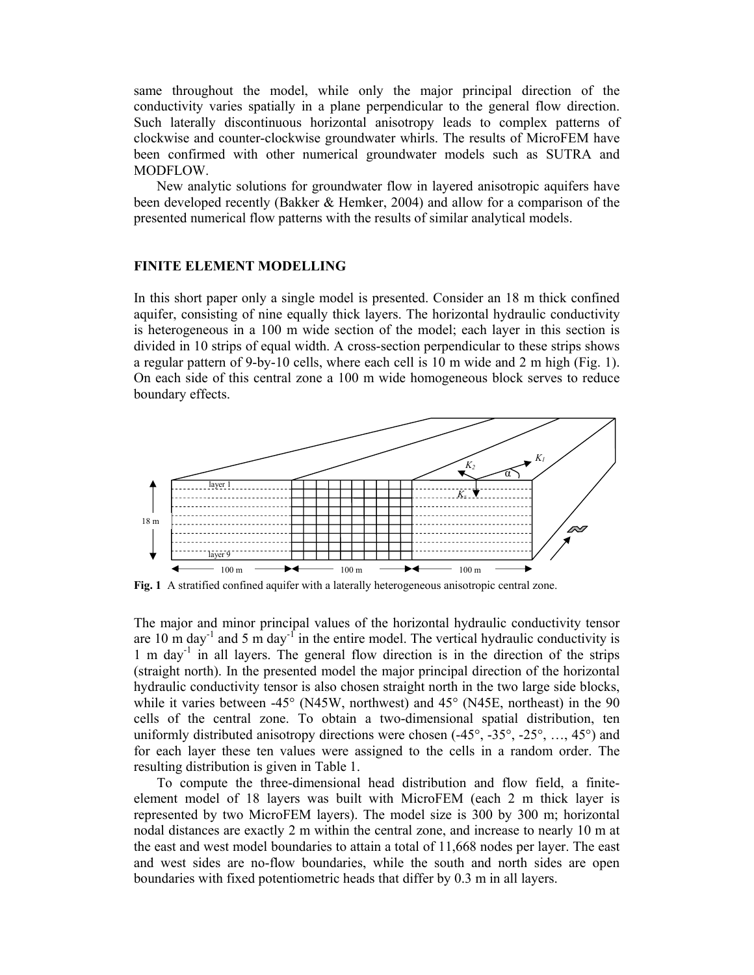same throughout the model, while only the major principal direction of the conductivity varies spatially in a plane perpendicular to the general flow direction. Such laterally discontinuous horizontal anisotropy leads to complex patterns of clockwise and counter-clockwise groundwater whirls. The results of MicroFEM have been confirmed with other numerical groundwater models such as SUTRA and MODFLOW.

 New analytic solutions for groundwater flow in layered anisotropic aquifers have been developed recently (Bakker & Hemker, 2004) and allow for a comparison of the presented numerical flow patterns with the results of similar analytical models.

### **FINITE ELEMENT MODELLING**

In this short paper only a single model is presented. Consider an 18 m thick confined aquifer, consisting of nine equally thick layers. The horizontal hydraulic conductivity is heterogeneous in a 100 m wide section of the model; each layer in this section is divided in 10 strips of equal width. A cross-section perpendicular to these strips shows a regular pattern of 9-by-10 cells, where each cell is 10 m wide and 2 m high (Fig. 1). On each side of this central zone a 100 m wide homogeneous block serves to reduce boundary effects.



**Fig. 1** A stratified confined aquifer with a laterally heterogeneous anisotropic central zone.

The major and minor principal values of the horizontal hydraulic conductivity tensor are 10 m day<sup>-1</sup> and 5 m day<sup>-1</sup> in the entire model. The vertical hydraulic conductivity is 1 m day<sup>-1</sup> in all layers. The general flow direction is in the direction of the strips (straight north). In the presented model the major principal direction of the horizontal hydraulic conductivity tensor is also chosen straight north in the two large side blocks, while it varies between -45° (N45W, northwest) and 45° (N45E, northeast) in the 90 cells of the central zone. To obtain a two-dimensional spatial distribution, ten uniformly distributed anisotropy directions were chosen (-45°, -35°, -25°, …, 45°) and for each layer these ten values were assigned to the cells in a random order. The resulting distribution is given in Table 1.

 To compute the three-dimensional head distribution and flow field, a finiteelement model of 18 layers was built with MicroFEM (each 2 m thick layer is represented by two MicroFEM layers). The model size is 300 by 300 m; horizontal nodal distances are exactly 2 m within the central zone, and increase to nearly 10 m at the east and west model boundaries to attain a total of 11,668 nodes per layer. The east and west sides are no-flow boundaries, while the south and north sides are open boundaries with fixed potentiometric heads that differ by 0.3 m in all layers.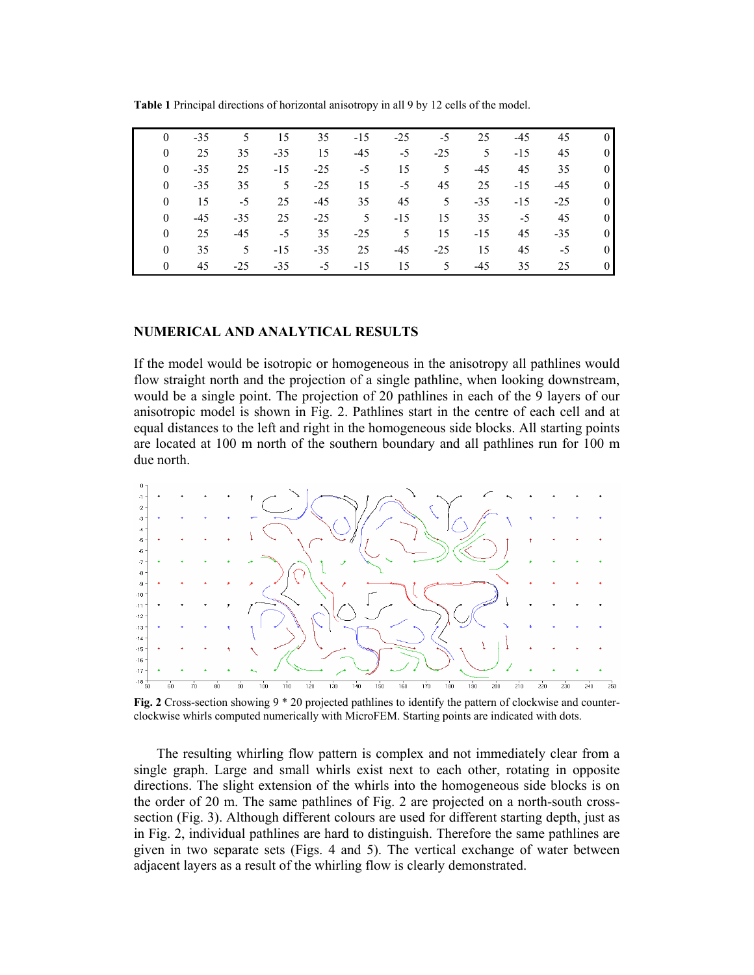| $\Omega$ | $-35$ | 5     | 15    | 35    | $-15$ | $-25$ | $-5$           | 25    | $-45$ | 45    | $\overline{0}$ |
|----------|-------|-------|-------|-------|-------|-------|----------------|-------|-------|-------|----------------|
|          | 25    | 35    | $-35$ | 15    | $-45$ | $-5$  | $-25$          | 5     | $-15$ | 45    | $\theta$       |
| $\Omega$ | $-35$ | 25    | $-15$ | $-25$ | $-5$  | 15    | 5              | $-45$ | 45    | 35    | $\overline{0}$ |
| 0        | $-35$ | 35    | 5     | $-25$ | 15    | $-5$  | 45             | 25    | $-15$ | $-45$ | $\overline{0}$ |
| $\Omega$ | 15    | $-5$  | 25    | $-45$ | 35    | 45    | 5 <sup>5</sup> | $-35$ | $-15$ | $-25$ | $\overline{0}$ |
| 0        | $-45$ | $-35$ | 25    | $-25$ | 5     | $-15$ | 15             | 35    | $-5$  | 45    | $\overline{0}$ |
| $\Omega$ | 25    | $-45$ | $-5$  | 35    | $-25$ | 5     | 15             | $-15$ | 45    | $-35$ | $\overline{0}$ |
| $\theta$ | 35    | 5     | $-15$ | $-35$ | 25    | $-45$ | $-25$          | 15    | 45    | $-5$  | $\overline{0}$ |
| 0        | 45    | $-25$ | $-35$ | $-5$  | $-15$ | 15    | 5              | $-45$ | 35    | 25    | $\Omega$       |

**Table 1** Principal directions of horizontal anisotropy in all 9 by 12 cells of the model.

## **NUMERICAL AND ANALYTICAL RESULTS**

If the model would be isotropic or homogeneous in the anisotropy all pathlines would flow straight north and the projection of a single pathline, when looking downstream, would be a single point. The projection of 20 pathlines in each of the 9 layers of our anisotropic model is shown in Fig. 2. Pathlines start in the centre of each cell and at equal distances to the left and right in the homogeneous side blocks. All starting points are located at 100 m north of the southern boundary and all pathlines run for 100 m due north.



**Fig. 2** Cross-section showing 9  $*$  20 projected pathlines to identify the pattern of clockwise and counterclockwise whirls computed numerically with MicroFEM. Starting points are indicated with dots.

 The resulting whirling flow pattern is complex and not immediately clear from a single graph. Large and small whirls exist next to each other, rotating in opposite directions. The slight extension of the whirls into the homogeneous side blocks is on the order of 20 m. The same pathlines of Fig. 2 are projected on a north-south crosssection (Fig. 3). Although different colours are used for different starting depth, just as in Fig. 2, individual pathlines are hard to distinguish. Therefore the same pathlines are given in two separate sets (Figs. 4 and 5). The vertical exchange of water between adjacent layers as a result of the whirling flow is clearly demonstrated.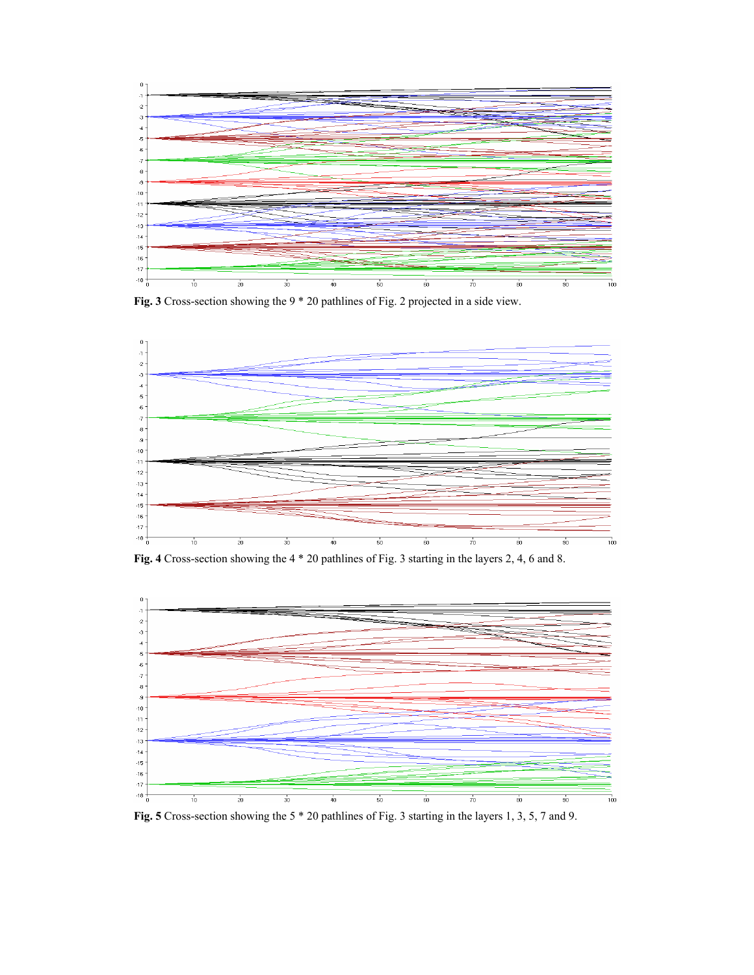

**Fig. 3** Cross-section showing the 9 \* 20 pathlines of Fig. 2 projected in a side view.



**Fig. 4** Cross-section showing the 4 \* 20 pathlines of Fig. 3 starting in the layers 2, 4, 6 and 8.



**Fig. 5** Cross-section showing the 5 \* 20 pathlines of Fig. 3 starting in the layers 1, 3, 5, 7 and 9.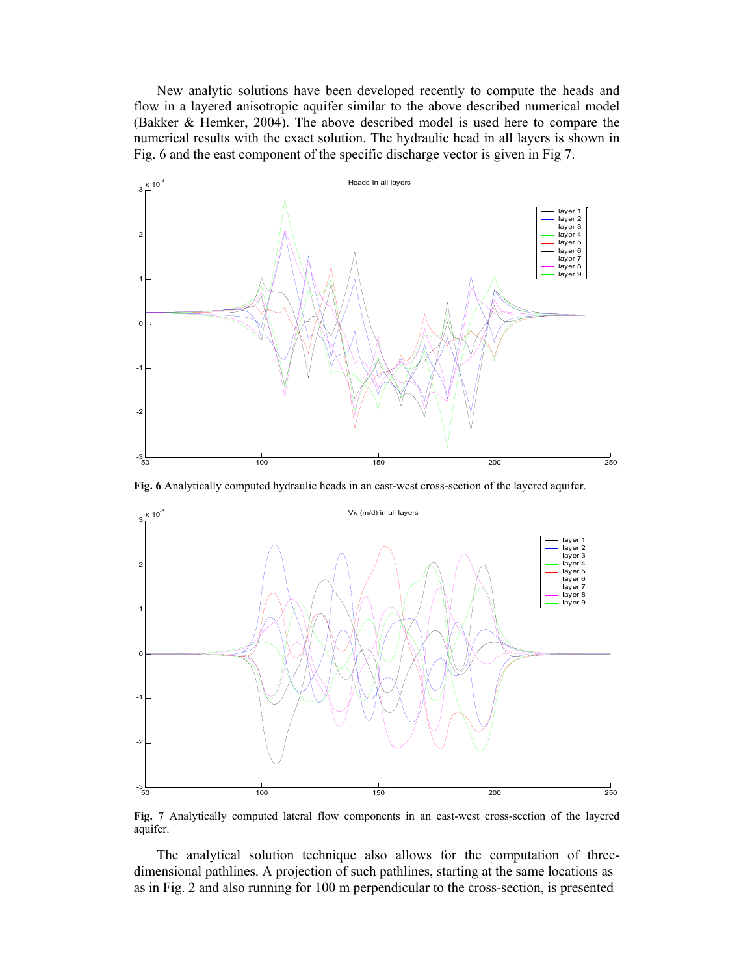New analytic solutions have been developed recently to compute the heads and flow in a layered anisotropic aquifer similar to the above described numerical model (Bakker & Hemker, 2004). The above described model is used here to compare the numerical results with the exact solution. The hydraulic head in all layers is shown in Fig. 6 and the east component of the specific discharge vector is given in Fig 7.



**Fig. 6** Analytically computed hydraulic heads in an east-west cross-section of the layered aquifer.



**Fig. 7** Analytically computed lateral flow components in an east-west cross-section of the layered aquifer.

 The analytical solution technique also allows for the computation of threedimensional pathlines. A projection of such pathlines, starting at the same locations as as in Fig. 2 and also running for 100 m perpendicular to the cross-section, is presented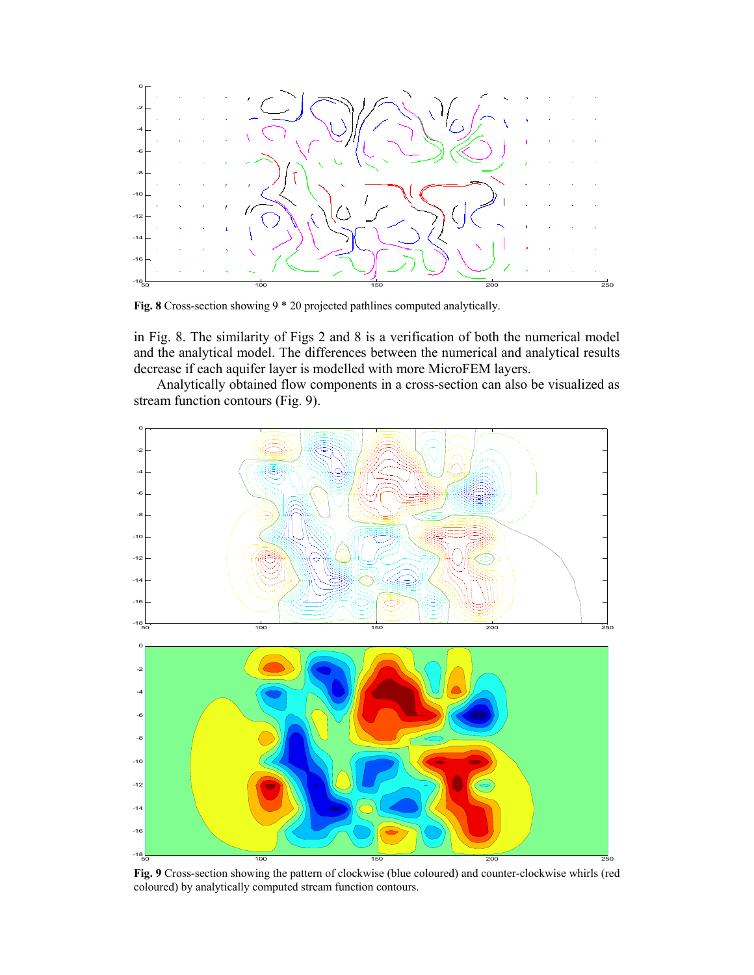

**Fig. 8** Cross-section showing 9 \* 20 projected pathlines computed analytically.

in Fig. 8. The similarity of Figs 2 and 8 is a verification of both the numerical model and the analytical model. The differences between the numerical and analytical results decrease if each aquifer layer is modelled with more MicroFEM layers.

 Analytically obtained flow components in a cross-section can also be visualized as stream function contours (Fig. 9).



**Fig. 9** Cross-section showing the pattern of clockwise (blue coloured) and counter-clockwise whirls (red coloured) by analytically computed stream function contours.